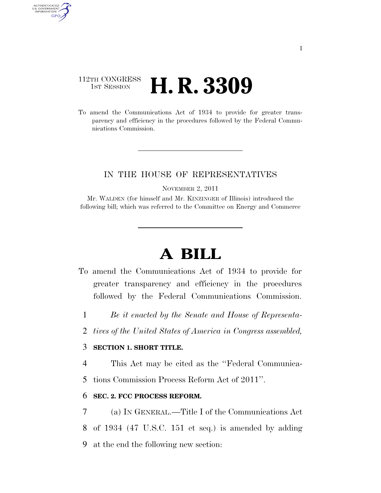# 112TH CONGRESS **1ST SESSION <b>H. R. 3309**

AUTHENTICATED U.S. GOVERNMENT GPO

> To amend the Communications Act of 1934 to provide for greater transparency and efficiency in the procedures followed by the Federal Communications Commission.

### IN THE HOUSE OF REPRESENTATIVES

NOVEMBER 2, 2011

Mr. WALDEN (for himself and Mr. KINZINGER of Illinois) introduced the following bill; which was referred to the Committee on Energy and Commerce

# **A BILL**

- To amend the Communications Act of 1934 to provide for greater transparency and efficiency in the procedures followed by the Federal Communications Commission.
	- 1 *Be it enacted by the Senate and House of Representa-*
	- 2 *tives of the United States of America in Congress assembled,*

#### 3 **SECTION 1. SHORT TITLE.**

4 This Act may be cited as the ''Federal Communica-

5 tions Commission Process Reform Act of 2011''.

#### 6 **SEC. 2. FCC PROCESS REFORM.**

7 (a) IN GENERAL.—Title I of the Communications Act 8 of 1934 (47 U.S.C. 151 et seq.) is amended by adding 9 at the end the following new section: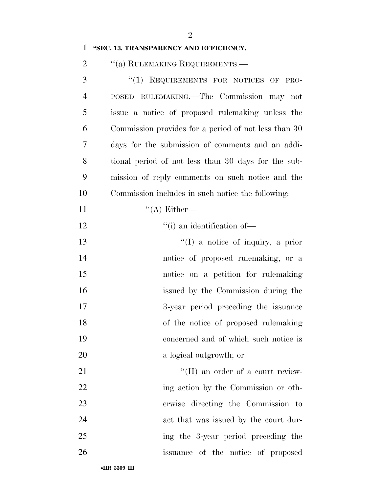#### **''SEC. 13. TRANSPARENCY AND EFFICIENCY.**

2 "(a) RULEMAKING REQUIREMENTS.—

 ''(1) REQUIREMENTS FOR NOTICES OF PRO- POSED RULEMAKING.—The Commission may not issue a notice of proposed rulemaking unless the Commission provides for a period of not less than 30 days for the submission of comments and an addi- tional period of not less than 30 days for the sub- mission of reply comments on such notice and the Commission includes in such notice the following:  $((A)$  Either—  $"$ (i) an identification of 13 ''(I) a notice of inquiry, a prior 14 notice of proposed rulemaking, or a notice on a petition for rulemaking issued by the Commission during the 3-year period preceding the issuance of the notice of proposed rulemaking concerned and of which such notice is a logical outgrowth; or  $\text{``(II)}$  an order of a court review-22 ing action by the Commission or oth-erwise directing the Commission to

act that was issued by the court dur-

- ing the 3-year period preceding the
- issuance of the notice of proposed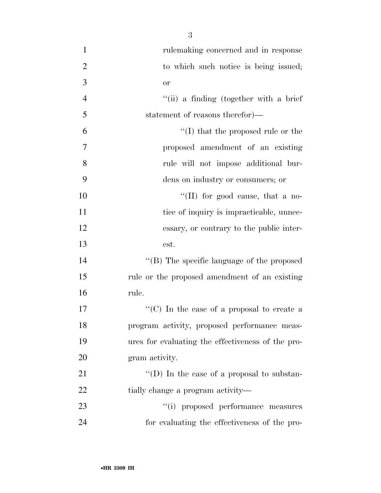- rulemaking concerned and in response 2 to which such notice is being issued; or ''(ii) a finding (together with a brief statement of reasons therefor)—  $\mathfrak{g}$   $\mathfrak{t}'(I)$  that the proposed rule or the proposed amendment of an existing rule will not impose additional bur- dens on industry or consumers; or ''(II) for good cause, that a no-11 tice of inquiry is impracticable, unnec- essary, or contrary to the public inter- est. 14  $\langle$  (B) The specific language of the proposed rule or the proposed amendment of an existing rule. 17  $\langle \text{C} \rangle$  In the case of a proposal to create a program activity, proposed performance meas- ures for evaluating the effectiveness of the pro- gram activity. 21  $\langle (D) \rangle$  In the case of a proposal to substan-22 tially change a program activity— 23  $(1)$  proposed performance measures
- for evaluating the effectiveness of the pro-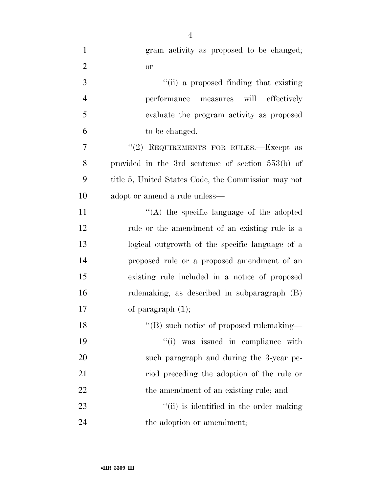| $\mathbf{1}$   | gram activity as proposed to be changed;            |
|----------------|-----------------------------------------------------|
| $\overline{2}$ | <b>or</b>                                           |
| $\mathfrak{Z}$ | "(ii) a proposed finding that existing              |
| $\overline{4}$ | performance measures will effectively               |
| 5              | evaluate the program activity as proposed           |
| 6              | to be changed.                                      |
| 7              | "(2) REQUIREMENTS FOR RULES.—Except as              |
| 8              | provided in the 3rd sentence of section $553(b)$ of |
| 9              | title 5, United States Code, the Commission may not |
| 10             | adopt or amend a rule unless—                       |
| 11             | $\lq\lq$ the specific language of the adopted       |
| 12             | rule or the amendment of an existing rule is a      |
| 13             | logical outgrowth of the specific language of a     |
| 14             | proposed rule or a proposed amendment of an         |
| 15             | existing rule included in a notice of proposed      |
| 16             | rulemaking, as described in subparagraph (B)        |
| 17             | of paragraph $(1)$ ;                                |
| 18             | "(B) such notice of proposed rulemaking—            |
| 19             | "(i) was issued in compliance with                  |
| 20             | such paragraph and during the 3-year pe-            |
| 21             | riod preceding the adoption of the rule or          |
| 22             | the amendment of an existing rule; and              |
| 23             | "(ii) is identified in the order making             |
| 24             | the adoption or amendment;                          |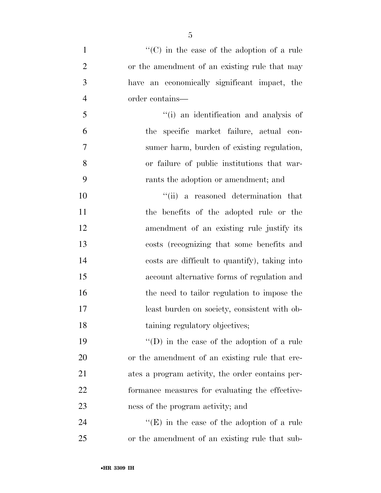| $\mathbf{1}$   | " $(C)$ in the case of the adoption of a rule     |
|----------------|---------------------------------------------------|
| $\overline{2}$ | or the amendment of an existing rule that may     |
| 3              | have an economically significant impact, the      |
| $\overline{4}$ | order contains—                                   |
| 5              | "(i) an identification and analysis of            |
| 6              | the specific market failure, actual con-          |
| 7              | sumer harm, burden of existing regulation,        |
| 8              | or failure of public institutions that war-       |
| 9              | rants the adoption or amendment; and              |
| 10             | "(ii) a reasoned determination that               |
| 11             | the benefits of the adopted rule or the           |
| 12             | amendment of an existing rule justify its         |
| 13             | costs (recognizing that some benefits and         |
| 14             | costs are difficult to quantify), taking into     |
| 15             | account alternative forms of regulation and       |
| 16             | the need to tailor regulation to impose the       |
| 17             | least burden on society, consistent with ob-      |
| 18             | taining regulatory objectives;                    |
| 19             | "(D) in the case of the adoption of a rule        |
| 20             | or the amendment of an existing rule that cre-    |
| 21             | ates a program activity, the order contains per-  |
| 22             | formance measures for evaluating the effective-   |
| 23             | ness of the program activity; and                 |
| 24             | $\lq\lq(E)$ in the case of the adoption of a rule |

or the amendment of an existing rule that sub-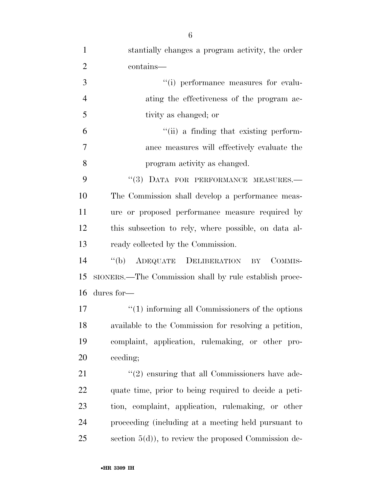| $\mathbf{1}$   | stantially changes a program activity, the order                |
|----------------|-----------------------------------------------------------------|
| $\overline{2}$ | contains—                                                       |
| 3              | "(i) performance measures for evalu-                            |
| $\overline{4}$ | ating the effectiveness of the program ac-                      |
| 5              | tivity as changed; or                                           |
| 6              | "(ii) a finding that existing perform-                          |
| 7              | ance measures will effectively evaluate the                     |
| 8              | program activity as changed.                                    |
| 9              | "(3) DATA FOR PERFORMANCE MEASURES.-                            |
| 10             | The Commission shall develop a performance meas-                |
| 11             | ure or proposed performance measure required by                 |
| 12             | this subsection to rely, where possible, on data al-            |
| 13             | ready collected by the Commission.                              |
| 14             | "(b) ADEQUATE DELIBERATION BY<br>COMMIS-                        |
| 15             | SIONERS.—The Commission shall by rule establish proce-          |
| 16             | dures for-                                                      |
| 17             | $\cdot\cdot\cdot(1)$ informing all Commissioners of the options |
| 18             | available to the Commission for resolving a petition,           |
| 19             | complaint, application, rulemaking, or other pro-               |
| 20             | ceeding;                                                        |
| 21             | $\lq(2)$ ensuring that all Commissioners have ade-              |
| 22             | quate time, prior to being required to decide a peti-           |
| 23             | tion, complaint, application, rulemaking, or other              |
| 24             | proceeding (including at a meeting held pursuant to             |
| 25             | section $5(d)$ , to review the proposed Commission de-          |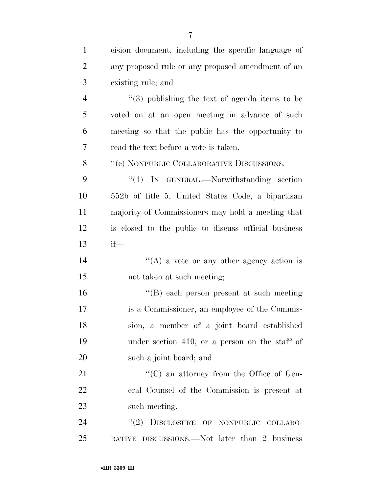| $\mathbf{1}$   | cision document, including the specific language of  |
|----------------|------------------------------------------------------|
| 2              | any proposed rule or any proposed amendment of an    |
| 3              | existing rule; and                                   |
| $\overline{4}$ | $(3)$ publishing the text of agenda items to be      |
| 5              | voted on at an open meeting in advance of such       |
| 6              | meeting so that the public has the opportunity to    |
| 7              | read the text before a vote is taken.                |
| 8              | "(c) NONPUBLIC COLLABORATIVE DISCUSSIONS.—           |
| 9              | " $(1)$ IN GENERAL.—Notwithstanding section          |
| 10             | 552b of title 5, United States Code, a bipartisan    |
| 11             | majority of Commissioners may hold a meeting that    |
| 12             | is closed to the public to discuss official business |
| 13             | $if$ —                                               |
| 14             | "(A) a vote or any other agency action is            |
| 15             | not taken at such meeting;                           |
| 16             | "(B) each person present at such meeting             |
| 17             | is a Commissioner, an employee of the Commis-        |
| 18             | sion, a member of a joint board established          |
| 19             | under section 410, or a person on the staff of       |
| 20             | such a joint board; and                              |
| 21             | $\lq\lq$ (C) an attorney from the Office of Gen-     |
| 22             | eral Counsel of the Commission is present at         |
| 23             | such meeting.                                        |
| 24             | DISCLOSURE OF NONPUBLIC COLLABO-<br>(2)              |
| 25             | RATIVE DISCUSSIONS.—Not later than 2 business        |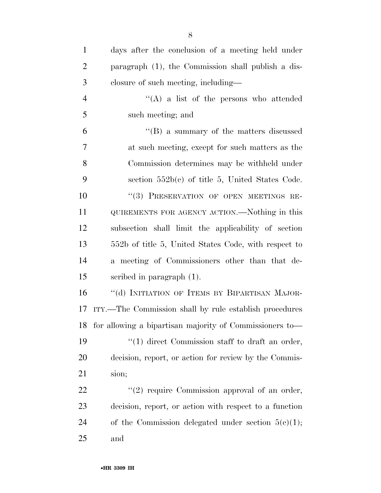| $\mathbf{1}$   | days after the conclusion of a meeting held under          |
|----------------|------------------------------------------------------------|
| $\overline{2}$ | paragraph (1), the Commission shall publish a dis-         |
| 3              | closure of such meeting, including—                        |
| $\overline{4}$ | $\lq\lq$ a list of the persons who attended                |
| 5              | such meeting; and                                          |
| 6              | "(B) a summary of the matters discussed                    |
| 7              | at such meeting, except for such matters as the            |
| 8              | Commission determines may be withheld under                |
| 9              | section $552b(c)$ of title 5, United States Code.          |
| 10             | "(3) PRESERVATION OF OPEN MEETINGS RE-                     |
| 11             | QUIREMENTS FOR AGENCY ACTION.—Nothing in this              |
| 12             | subsection shall limit the applicability of section        |
| 13             | 552b of title 5, United States Code, with respect to       |
| 14             | a meeting of Commissioners other than that de-             |
| 15             | scribed in paragraph $(1)$ .                               |
| 16             | "(d) INITIATION OF ITEMS BY BIPARTISAN MAJOR-              |
| 17             | ITY.—The Commission shall by rule establish procedures     |
|                | 18 for allowing a bipartisan majority of Commissioners to— |
| 19             | $\lq(1)$ direct Commission staff to draft an order,        |
| 20             | decision, report, or action for review by the Commis-      |
| 21             | sion;                                                      |
| 22             | $\lq(2)$ require Commission approval of an order,          |
| 23             | decision, report, or action with respect to a function     |
| 24             | of the Commission delegated under section $5(e)(1)$ ;      |
| 25             | and                                                        |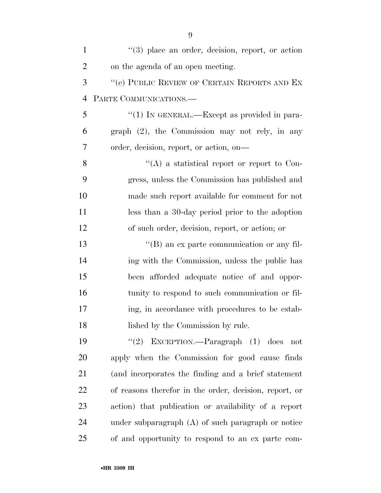| $\mathbf{1}$   | $(3)$ place an order, decision, report, or action      |
|----------------|--------------------------------------------------------|
| $\overline{2}$ | on the agenda of an open meeting.                      |
| 3              | "(e) PUBLIC REVIEW OF CERTAIN REPORTS AND EX           |
| $\overline{4}$ | PARTE COMMUNICATIONS.                                  |
| 5              | "(1) IN GENERAL.—Except as provided in para-           |
| 6              | graph $(2)$ , the Commission may not rely, in any      |
| 7              | order, decision, report, or action, on-                |
| 8              | "(A) a statistical report or report to Con-            |
| 9              | gress, unless the Commission has published and         |
| 10             | made such report available for comment for not         |
| 11             | less than a 30-day period prior to the adoption        |
| 12             | of such order, decision, report, or action; or         |
| 13             | $\lq\lq (B)$ an ex parte communication or any fil-     |
| 14             | ing with the Commission, unless the public has         |
| 15             | been afforded adequate notice of and oppor-            |
| 16             | tunity to respond to such communication or fil-        |
| 17             | ing, in accordance with procedures to be estab-        |
| 18             | lished by the Commission by rule.                      |
| 19             | "(2) EXCEPTION.—Paragraph $(1)$ does<br>not            |
| 20             | apply when the Commission for good cause finds         |
| 21             | (and incorporates the finding and a brief statement    |
| 22             | of reasons therefor in the order, decision, report, or |
| 23             | action) that publication or availability of a report   |
| 24             | under subparagraph $(A)$ of such paragraph or notice   |
| 25             | of and opportunity to respond to an ex parte com-      |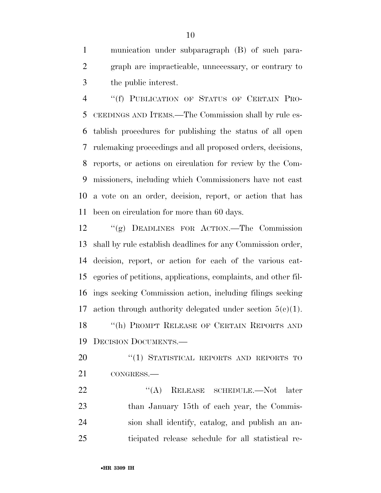munication under subparagraph (B) of such para- graph are impracticable, unnecessary, or contrary to the public interest.

 ''(f) PUBLICATION OF STATUS OF CERTAIN PRO- CEEDINGS AND ITEMS.—The Commission shall by rule es- tablish procedures for publishing the status of all open rulemaking proceedings and all proposed orders, decisions, reports, or actions on circulation for review by the Com- missioners, including which Commissioners have not cast a vote on an order, decision, report, or action that has been on circulation for more than 60 days.

 ''(g) DEADLINES FOR ACTION.—The Commission shall by rule establish deadlines for any Commission order, decision, report, or action for each of the various cat- egories of petitions, applications, complaints, and other fil- ings seeking Commission action, including filings seeking 17 action through authority delegated under section  $5(c)(1)$ . 18 "(h) PROMPT RELEASE OF CERTAIN REPORTS AND DECISION DOCUMENTS.—

20 "(1) STATISTICAL REPORTS AND REPORTS TO CONGRESS.—

22 "(A) RELEASE SCHEDULE.—Not later 23 than January 15th of each year, the Commis- sion shall identify, catalog, and publish an an-ticipated release schedule for all statistical re-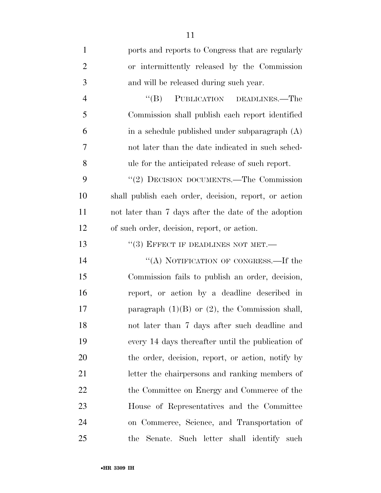| $\mathbf{1}$   | ports and reports to Congress that are regularly      |
|----------------|-------------------------------------------------------|
| $\overline{2}$ | or intermittently released by the Commission          |
| 3              | and will be released during such year.                |
| $\overline{4}$ | PUBLICATION DEADLINES.—The<br>$\lq\lq (B)$            |
| 5              | Commission shall publish each report identified       |
| 6              | in a schedule published under subparagraph (A)        |
| 7              | not later than the date indicated in such sched-      |
| 8              | ule for the anticipated release of such report.       |
| 9              | "(2) DECISION DOCUMENTS.—The Commission               |
| 10             | shall publish each order, decision, report, or action |
| 11             | not later than 7 days after the date of the adoption  |
| 12             | of such order, decision, report, or action.           |
| 13             | $``(3)$ EFFECT IF DEADLINES NOT MET.—                 |
| 14             | "(A) NOTIFICATION OF CONGRESS.—If the                 |
| 15             | Commission fails to publish an order, decision,       |
| 16             | report, or action by a deadline described in          |
| 17             | paragraph $(1)(B)$ or $(2)$ , the Commission shall,   |
| 18             | not later than 7 days after such deadline and         |
| 19             | every 14 days thereafter until the publication of     |
| 20             | the order, decision, report, or action, notify by     |
| 21             | letter the chairpersons and ranking members of        |
| 22             | the Committee on Energy and Commerce of the           |
| 23             | House of Representatives and the Committee            |
| 24             | on Commerce, Science, and Transportation of           |
| 25             | the Senate. Such letter shall identify such           |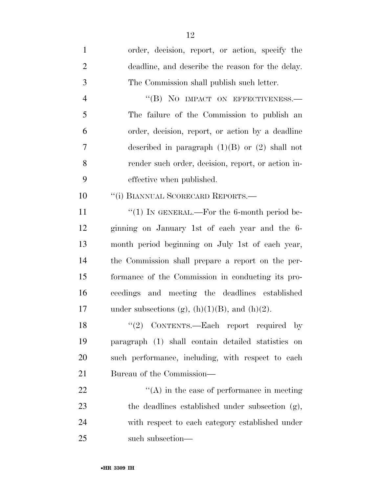| $\mathbf{1}$   | order, decision, report, or action, specify the       |
|----------------|-------------------------------------------------------|
| $\overline{2}$ | deadline, and describe the reason for the delay.      |
| 3              | The Commission shall publish such letter.             |
| $\overline{4}$ | "(B) NO IMPACT ON EFFECTIVENESS.-                     |
| 5              | The failure of the Commission to publish an           |
| 6              | order, decision, report, or action by a deadline      |
| 7              | described in paragraph $(1)(B)$ or $(2)$ shall not    |
| 8              | render such order, decision, report, or action in-    |
| 9              | effective when published.                             |
| 10             | "(i) BIANNUAL SCORECARD REPORTS.-                     |
| 11             | "(1) IN GENERAL.—For the 6-month period be-           |
| 12             | ginning on January 1st of each year and the 6-        |
| 13             | month period beginning on July 1st of each year,      |
| 14             | the Commission shall prepare a report on the per-     |
| 15             | formance of the Commission in conducting its pro-     |
| 16             | ceedings and meeting the deadlines established        |
| 17             | under subsections (g), $(h)(1)(B)$ , and $(h)(2)$ .   |
| 18             | CONTENTS.—Each report required by<br>(2)              |
| 19             | paragraph (1) shall contain detailed statistics<br>on |
| 20             | such performance, including, with respect to each     |
| 21             | Bureau of the Commission—                             |
| 22             | $\lq\lq$ in the case of performance in meeting        |
| 23             | the deadlines established under subsection (g),       |
| 24             | with respect to each category established under       |
| 25             | such subsection-                                      |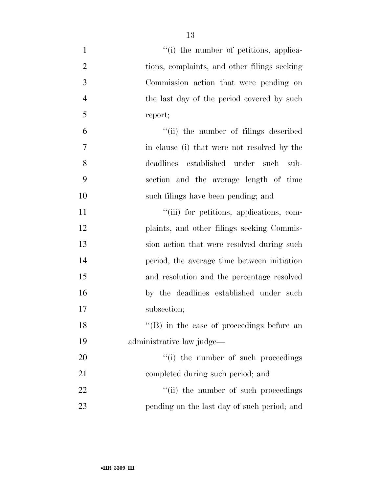| $\mathbf{1}$   | "(i) the number of petitions, applica-            |
|----------------|---------------------------------------------------|
| $\overline{2}$ | tions, complaints, and other filings seeking      |
| 3              | Commission action that were pending on            |
| $\overline{4}$ | the last day of the period covered by such        |
| 5              | report;                                           |
| 6              | "(ii) the number of filings described             |
| 7              | in clause (i) that were not resolved by the       |
| 8              | deadlines established under such<br>sub-          |
| 9              | section and the average length of time            |
| 10             | such filings have been pending; and               |
| 11             | "(iii) for petitions, applications, com-          |
| 12             | plaints, and other filings seeking Commis-        |
| 13             | sion action that were resolved during such        |
| 14             | period, the average time between initiation       |
| 15             | and resolution and the percentage resolved        |
| 16             | by the deadlines established under such           |
| 17             | subsection;                                       |
| 18             | $\lq\lq$ (B) in the case of proceedings before an |
| 19             | administrative law judge—                         |
| 20             | "(i) the number of such proceedings               |
| 21             | completed during such period; and                 |
| 22             | "(ii) the number of such proceedings              |
| 23             | pending on the last day of such period; and       |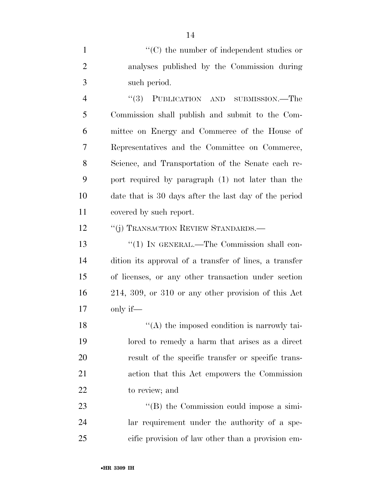1  $\lq(0)$  the number of independent studies or analyses published by the Commission during such period.

 ''(3) PUBLICATION AND SUBMISSION.—The Commission shall publish and submit to the Com- mittee on Energy and Commerce of the House of Representatives and the Committee on Commerce, Science, and Transportation of the Senate each re- port required by paragraph (1) not later than the date that is 30 days after the last day of the period covered by such report.

12 "(j) TRANSACTION REVIEW STANDARDS.—

13 "(1) IN GENERAL.—The Commission shall con- dition its approval of a transfer of lines, a transfer of licenses, or any other transaction under section 214, 309, or 310 or any other provision of this Act only if—

18 ''(A) the imposed condition is narrowly tai- lored to remedy a harm that arises as a direct result of the specific transfer or specific trans- action that this Act empowers the Commission to review; and

23 ''(B) the Commission could impose a simi- lar requirement under the authority of a spe-cific provision of law other than a provision em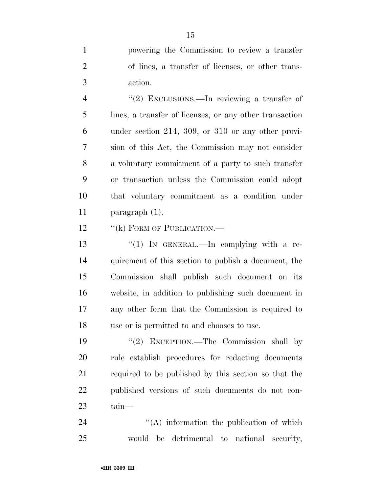powering the Commission to review a transfer of lines, a transfer of licenses, or other trans-action.

4 "(2) EXCLUSIONS.—In reviewing a transfer of lines, a transfer of licenses, or any other transaction under section 214, 309, or 310 or any other provi- sion of this Act, the Commission may not consider a voluntary commitment of a party to such transfer or transaction unless the Commission could adopt that voluntary commitment as a condition under paragraph (1).

12 "(k) FORM OF PUBLICATION.—

13 "(1) In GENERAL.—In complying with a re- quirement of this section to publish a document, the Commission shall publish such document on its website, in addition to publishing such document in any other form that the Commission is required to use or is permitted to and chooses to use.

19 ''(2) EXCEPTION.—The Commission shall by rule establish procedures for redacting documents required to be published by this section so that the published versions of such documents do not con-tain—

24 ''(A) information the publication of which would be detrimental to national security,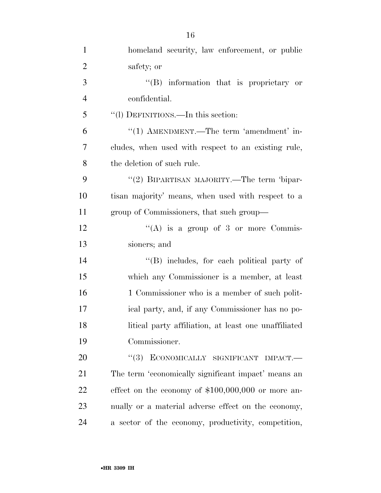| $\mathbf{1}$   | homeland security, law enforcement, or public        |
|----------------|------------------------------------------------------|
| $\overline{2}$ | safety; or                                           |
| $\mathfrak{Z}$ | "(B) information that is proprietary or              |
| $\overline{4}$ | confidential.                                        |
| 5              | "(1) DEFINITIONS.—In this section:                   |
| 6              | "(1) AMENDMENT.—The term 'amendment' in-             |
| 7              | cludes, when used with respect to an existing rule,  |
| 8              | the deletion of such rule.                           |
| 9              | "(2) BIPARTISAN MAJORITY.—The term 'bipar-           |
| 10             | tisan majority' means, when used with respect to a   |
| 11             | group of Commissioners, that such group—             |
| 12             | "(A) is a group of 3 or more Commis-                 |
| 13             | sioners; and                                         |
| 14             | $\lq\lq$ (B) includes, for each political party of   |
| 15             | which any Commissioner is a member, at least         |
| 16             | 1 Commissioner who is a member of such polit-        |
| 17             | ical party, and, if any Commissioner has no po-      |
| 18             | litical party affiliation, at least one unaffiliated |
| 19             | Commissioner.                                        |
| 20             | "(3) ECONOMICALLY SIGNIFICANT IMPACT.-               |
| 21             | The term 'economically significant impact' means an  |
| 22             | effect on the economy of $$100,000,000$ or more an-  |
| 23             | nually or a material adverse effect on the economy,  |
| 24             | a sector of the economy, productivity, competition,  |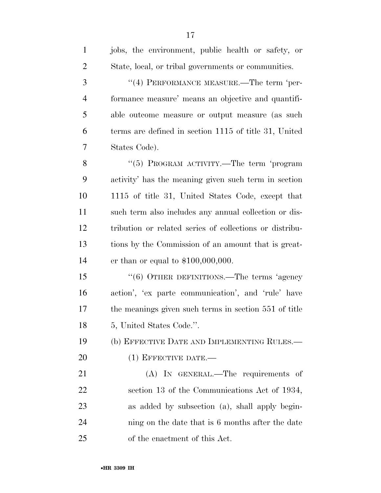| $\mathbf{1}$   | jobs, the environment, public health or safety, or      |
|----------------|---------------------------------------------------------|
| $\overline{2}$ | State, local, or tribal governments or communities.     |
| 3              | "(4) PERFORMANCE MEASURE.—The term 'per-                |
| $\overline{4}$ | formance measure' means an objective and quantifi-      |
| 5              | able outcome measure or output measure (as such         |
| 6              | terms are defined in section 1115 of title 31, United   |
| 7              | States Code).                                           |
| 8              | "(5) PROGRAM ACTIVITY.—The term 'program                |
| 9              | activity' has the meaning given such term in section    |
| 10             | 1115 of title 31, United States Code, except that       |
| 11             | such term also includes any annual collection or dis-   |
| 12             | tribution or related series of collections or distribu- |
| 13             | tions by the Commission of an amount that is great-     |
| 14             | er than or equal to $$100,000,000$ .                    |
| 15             | "(6) OTHER DEFINITIONS.—The terms 'agency               |
| 16             | action', 'ex parte communication', and 'rule' have      |
| 17             | the meanings given such terms in section 551 of title   |
| 18             | 5, United States Code.".                                |
| 19             | (b) EFFECTIVE DATE AND IMPLEMENTING RULES.—             |
| 20             | $(1)$ EFFECTIVE DATE.—                                  |
| 21             | (A) IN GENERAL.—The requirements of                     |
| 22             | section 13 of the Communications Act of 1934,           |
| 23             | as added by subsection (a), shall apply begin-          |
| 24             | ning on the date that is 6 months after the date        |
| 25             | of the enactment of this Act.                           |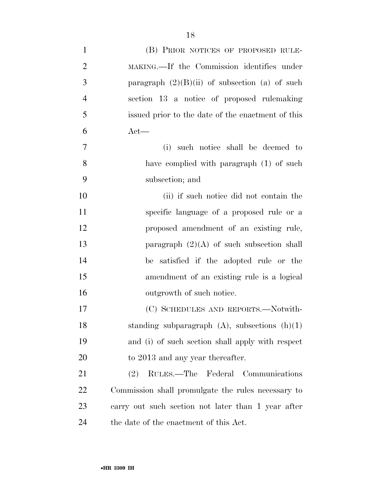| $\mathbf{1}$   | (B) PRIOR NOTICES OF PROPOSED RULE-                |
|----------------|----------------------------------------------------|
| $\overline{2}$ | MAKING.—If the Commission identifies under         |
| 3              | paragraph $(2)(B)(ii)$ of subsection (a) of such   |
| $\overline{4}$ | section 13 a notice of proposed rulemaking         |
| 5              | issued prior to the date of the enactment of this  |
| 6              | $Act$ —                                            |
| $\tau$         | such notice shall be deemed to<br>(i)              |
| 8              | have complied with paragraph (1) of such           |
| 9              | subsection; and                                    |
| 10             | (ii) if such notice did not contain the            |
| 11             | specific language of a proposed rule or a          |
| 12             | proposed amendment of an existing rule,            |
| 13             | paragraph $(2)(A)$ of such subsection shall        |
| 14             | be satisfied if the adopted rule or the            |
| 15             | amendment of an existing rule is a logical         |
| 16             | outgrowth of such notice.                          |
| 17             | (C) SCHEDULES AND REPORTS.—Notwith-                |
| 18             | standing subparagraph $(A)$ , subsections $(h)(1)$ |
| 19             | and (i) of such section shall apply with respect   |
| 20             | to 2013 and any year thereafter.                   |
| 21             | RULES.—The Federal Communications<br>(2)           |
| 22             | Commission shall promulgate the rules necessary to |
| 23             | carry out such section not later than 1 year after |
| 24             | the date of the enactment of this Act.             |